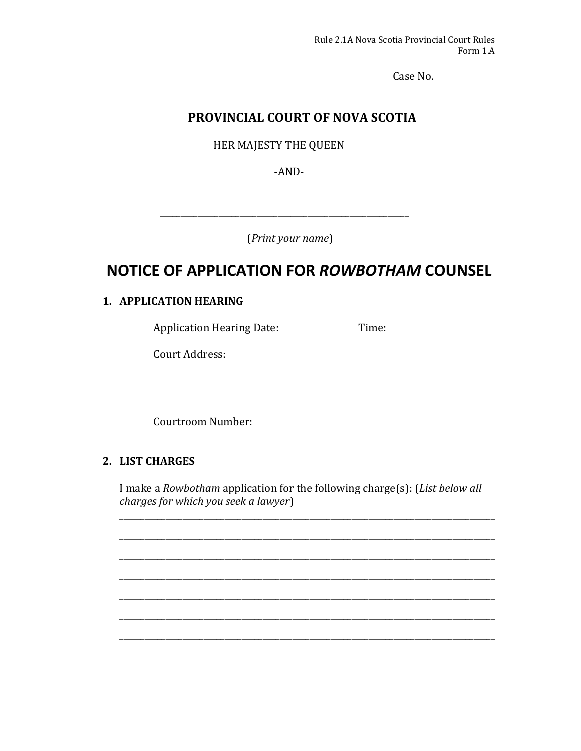Case No. 

## **PROVINCIAL COURT OF NOVA SCOTIA**

HER MAJESTY THE QUEEN

‐AND‐ 

(*Print your name*) 

\_\_\_\_\_\_\_\_\_\_\_\_\_\_\_\_\_\_\_\_\_\_\_\_\_\_\_\_\_\_\_\_\_\_\_\_\_\_\_\_\_\_\_\_\_\_\_\_\_\_\_\_\_\_\_\_\_\_\_ 

# **NOTICE OF APPLICATION FOR** *ROWBOTHAM* **COUNSEL**

### **1. APPLICATION HEARING**

Application Hearing Date: Time:

Court Address:

Courtroom Number: 

### **2. LIST CHARGES**

I make a *Rowbotham* application for the following charge(s): (*List below all charges for which you seek a lawyer*)

\_\_\_\_\_\_\_\_\_\_\_\_\_\_\_\_\_\_\_\_\_\_\_\_\_\_\_\_\_\_\_\_\_\_\_\_\_\_\_\_\_\_\_\_\_\_\_\_\_\_\_\_\_\_\_\_\_\_\_\_\_\_\_\_\_\_\_\_\_\_\_\_\_\_\_\_\_\_\_\_\_\_\_\_\_\_\_\_\_

\_\_\_\_\_\_\_\_\_\_\_\_\_\_\_\_\_\_\_\_\_\_\_\_\_\_\_\_\_\_\_\_\_\_\_\_\_\_\_\_\_\_\_\_\_\_\_\_\_\_\_\_\_\_\_\_\_\_\_\_\_\_\_\_\_\_\_\_\_\_\_\_\_\_\_\_\_\_\_\_\_\_\_\_\_\_\_\_\_

\_\_\_\_\_\_\_\_\_\_\_\_\_\_\_\_\_\_\_\_\_\_\_\_\_\_\_\_\_\_\_\_\_\_\_\_\_\_\_\_\_\_\_\_\_\_\_\_\_\_\_\_\_\_\_\_\_\_\_\_\_\_\_\_\_\_\_\_\_\_\_\_\_\_\_\_\_\_\_\_\_\_\_\_\_\_\_\_\_

\_\_\_\_\_\_\_\_\_\_\_\_\_\_\_\_\_\_\_\_\_\_\_\_\_\_\_\_\_\_\_\_\_\_\_\_\_\_\_\_\_\_\_\_\_\_\_\_\_\_\_\_\_\_\_\_\_\_\_\_\_\_\_\_\_\_\_\_\_\_\_\_\_\_\_\_\_\_\_\_\_\_\_\_\_\_\_\_\_

\_\_\_\_\_\_\_\_\_\_\_\_\_\_\_\_\_\_\_\_\_\_\_\_\_\_\_\_\_\_\_\_\_\_\_\_\_\_\_\_\_\_\_\_\_\_\_\_\_\_\_\_\_\_\_\_\_\_\_\_\_\_\_\_\_\_\_\_\_\_\_\_\_\_\_\_\_\_\_\_\_\_\_\_\_\_\_\_\_

\_\_\_\_\_\_\_\_\_\_\_\_\_\_\_\_\_\_\_\_\_\_\_\_\_\_\_\_\_\_\_\_\_\_\_\_\_\_\_\_\_\_\_\_\_\_\_\_\_\_\_\_\_\_\_\_\_\_\_\_\_\_\_\_\_\_\_\_\_\_\_\_\_\_\_\_\_\_\_\_\_\_\_\_\_\_\_\_\_

\_\_\_\_\_\_\_\_\_\_\_\_\_\_\_\_\_\_\_\_\_\_\_\_\_\_\_\_\_\_\_\_\_\_\_\_\_\_\_\_\_\_\_\_\_\_\_\_\_\_\_\_\_\_\_\_\_\_\_\_\_\_\_\_\_\_\_\_\_\_\_\_\_\_\_\_\_\_\_\_\_\_\_\_\_\_\_\_\_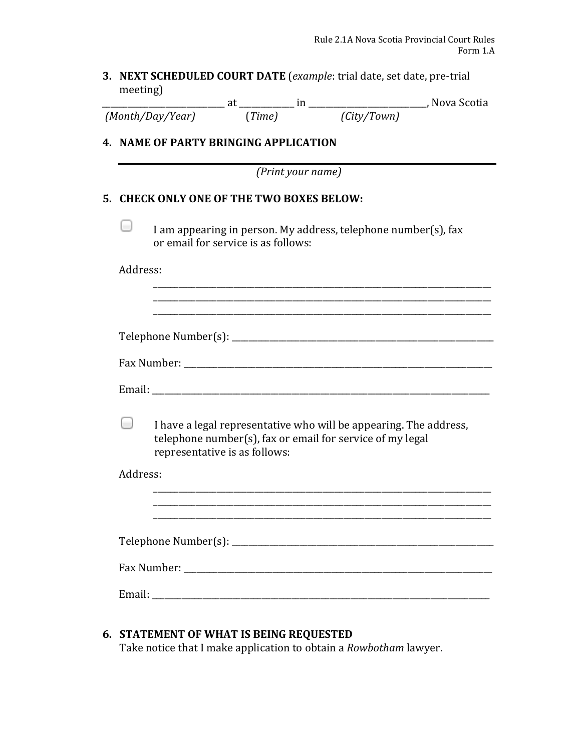#### **3. NEXT SCHEDULED COURT DATE** (*example*: trial date, set date, pre-trial meeting)

|                  |        |             | , Nova Scotia |
|------------------|--------|-------------|---------------|
| (Month/Day/Year) | (Time) | (City/Town) |               |

### **4. NAME OF PARTY BRINGING APPLICATION**

*(Print your name)*

#### **5. CHECK ONLY ONE OF THE TWO BOXES BELOW:**

I am appearing in person. My address, telephone number(s), fax or email for service is as follows:

Address: 

 $\Box$ 

|          | I have a legal representative who will be appearing. The address,<br>telephone number(s), fax or email for service of my legal<br>representative is as follows: |
|----------|-----------------------------------------------------------------------------------------------------------------------------------------------------------------|
| Address: |                                                                                                                                                                 |
|          |                                                                                                                                                                 |
|          |                                                                                                                                                                 |

Fax Number: \_\_\_\_\_\_\_\_\_\_\_\_\_\_\_\_\_\_\_\_\_\_\_\_\_\_\_\_\_\_\_\_\_\_\_\_\_\_\_\_\_\_\_\_\_\_\_\_\_\_\_\_\_\_\_\_\_\_\_\_\_\_\_\_\_\_\_\_\_\_\_\_\_ 

Email: \_\_\_\_\_\_\_\_\_\_\_\_\_\_\_\_\_\_\_\_\_\_\_\_\_\_\_\_\_\_\_\_\_\_\_\_\_\_\_\_\_\_\_\_\_\_\_\_\_\_\_\_\_\_\_\_\_\_\_\_\_\_\_\_\_\_\_\_\_\_\_\_\_\_\_\_\_\_\_\_ 

## **6. STATEMENT OF WHAT IS BEING REQUESTED**

Take notice that I make application to obtain a *Rowbotham* lawyer.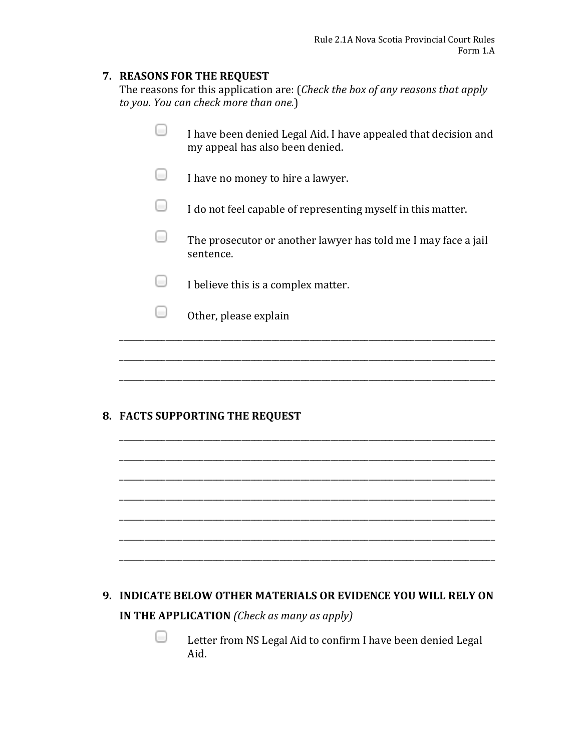#### **7. REASONS FOR THE REQUEST**

The reasons for this application are: (*Check the box of any reasons that apply to you. You can check more than one.*)

| 8. FACTS SUPPORTING THE REQUEST                                                                    |
|----------------------------------------------------------------------------------------------------|
|                                                                                                    |
| Other, please explain                                                                              |
| I believe this is a complex matter.                                                                |
| The prosecutor or another lawyer has told me I may face a jail<br>sentence.                        |
| I do not feel capable of representing myself in this matter.                                       |
| I have no money to hire a lawyer.                                                                  |
| I have been denied Legal Aid. I have appealed that decision and<br>my appeal has also been denied. |

\_\_\_\_\_\_\_\_\_\_\_\_\_\_\_\_\_\_\_\_\_\_\_\_\_\_\_\_\_\_\_\_\_\_\_\_\_\_\_\_\_\_\_\_\_\_\_\_\_\_\_\_\_\_\_\_\_\_\_\_\_\_\_\_\_\_\_\_\_\_\_\_\_\_\_\_\_\_\_\_\_\_\_\_\_\_\_\_\_

\_\_\_\_\_\_\_\_\_\_\_\_\_\_\_\_\_\_\_\_\_\_\_\_\_\_\_\_\_\_\_\_\_\_\_\_\_\_\_\_\_\_\_\_\_\_\_\_\_\_\_\_\_\_\_\_\_\_\_\_\_\_\_\_\_\_\_\_\_\_\_\_\_\_\_\_\_\_\_\_\_\_\_\_\_\_\_\_\_

\_\_\_\_\_\_\_\_\_\_\_\_\_\_\_\_\_\_\_\_\_\_\_\_\_\_\_\_\_\_\_\_\_\_\_\_\_\_\_\_\_\_\_\_\_\_\_\_\_\_\_\_\_\_\_\_\_\_\_\_\_\_\_\_\_\_\_\_\_\_\_\_\_\_\_\_\_\_\_\_\_\_\_\_\_\_\_\_\_

\_\_\_\_\_\_\_\_\_\_\_\_\_\_\_\_\_\_\_\_\_\_\_\_\_\_\_\_\_\_\_\_\_\_\_\_\_\_\_\_\_\_\_\_\_\_\_\_\_\_\_\_\_\_\_\_\_\_\_\_\_\_\_\_\_\_\_\_\_\_\_\_\_\_\_\_\_\_\_\_\_\_\_\_\_\_\_\_\_

\_\_\_\_\_\_\_\_\_\_\_\_\_\_\_\_\_\_\_\_\_\_\_\_\_\_\_\_\_\_\_\_\_\_\_\_\_\_\_\_\_\_\_\_\_\_\_\_\_\_\_\_\_\_\_\_\_\_\_\_\_\_\_\_\_\_\_\_\_\_\_\_\_\_\_\_\_\_\_\_\_\_\_\_\_\_\_\_\_

\_\_\_\_\_\_\_\_\_\_\_\_\_\_\_\_\_\_\_\_\_\_\_\_\_\_\_\_\_\_\_\_\_\_\_\_\_\_\_\_\_\_\_\_\_\_\_\_\_\_\_\_\_\_\_\_\_\_\_\_\_\_\_\_\_\_\_\_\_\_\_\_\_\_\_\_\_\_\_\_\_\_\_\_\_\_\_\_\_

# **9. INDICATE BELOW OTHER MATERIALS OR EVIDENCE YOU WILL RELY ON IN THE APPLICATION** *(Check as many as apply)*

⊟ Letter from NS Legal Aid to confirm I have been denied Legal Aid.